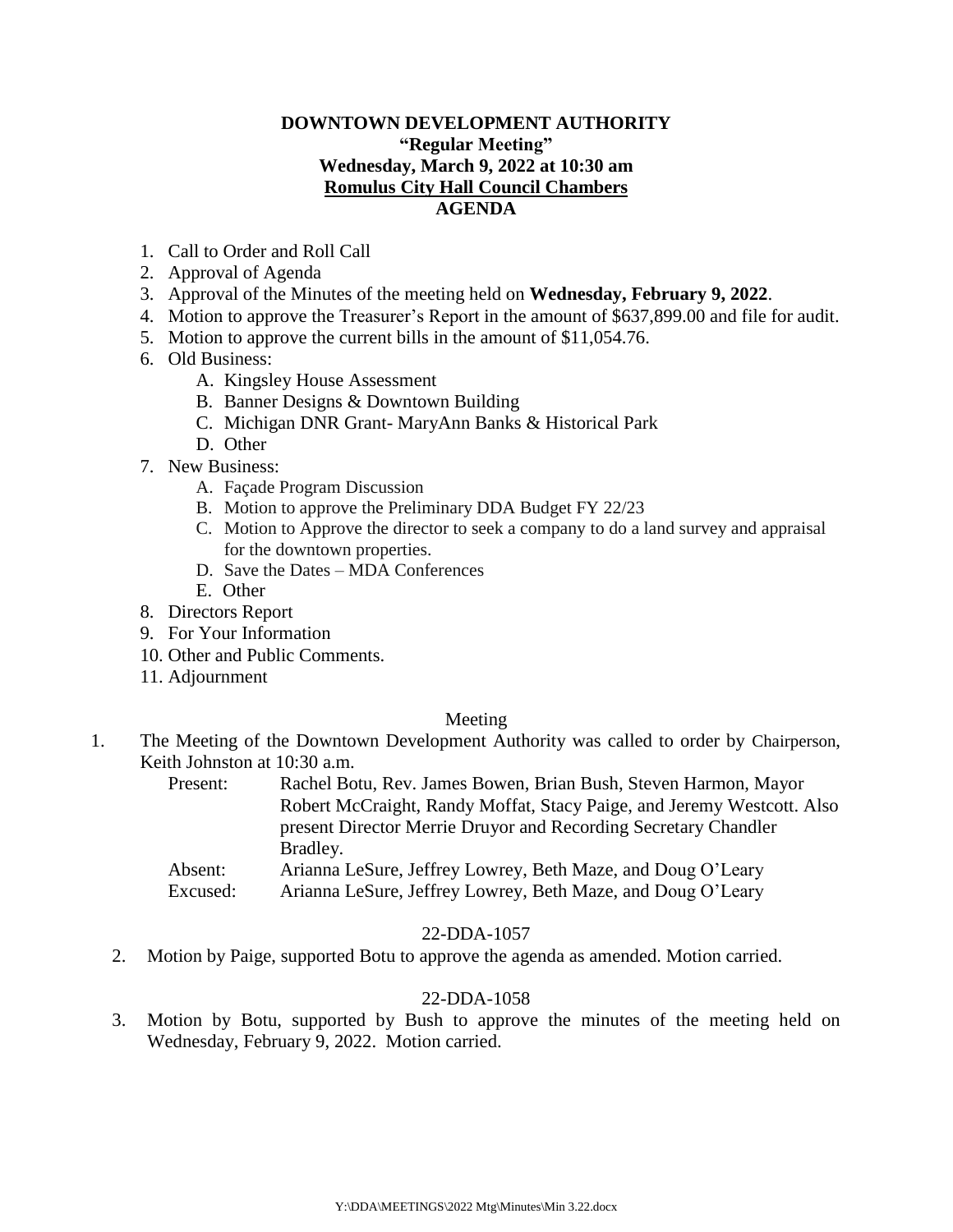## **DOWNTOWN DEVELOPMENT AUTHORITY "Regular Meeting" Wednesday, March 9, 2022 at 10:30 am Romulus City Hall Council Chambers AGENDA**

- 1. Call to Order and Roll Call
- 2. Approval of Agenda
- 3. Approval of the Minutes of the meeting held on **Wednesday, February 9, 2022**.
- 4. Motion to approve the Treasurer's Report in the amount of \$637,899.00 and file for audit.
- 5. Motion to approve the current bills in the amount of \$11,054.76.
- 6. Old Business:
	- A. Kingsley House Assessment
	- B. Banner Designs & Downtown Building
	- C. Michigan DNR Grant- MaryAnn Banks & Historical Park
	- D. Other
- 7. New Business:
	- A. Façade Program Discussion
	- B. Motion to approve the Preliminary DDA Budget FY 22/23
	- C. Motion to Approve the director to seek a company to do a land survey and appraisal for the downtown properties.
	- D. Save the Dates MDA Conferences
	- E. Other
- 8. Directors Report
- 9. For Your Information
- 10. Other and Public Comments.
- 11. Adjournment

#### Meeting

- 1. The Meeting of the Downtown Development Authority was called to order by Chairperson, Keith Johnston at 10:30 a.m.
	- Present: Rachel Botu, Rev. James Bowen, Brian Bush, Steven Harmon, Mayor Robert McCraight, Randy Moffat, Stacy Paige, and Jeremy Westcott. Also present Director Merrie Druyor and Recording Secretary Chandler Bradley.
	- Absent: Arianna LeSure, Jeffrey Lowrey, Beth Maze, and Doug O'Leary Excused: Arianna LeSure, Jeffrey Lowrey, Beth Maze, and Doug O'Leary

### 22-DDA-1057

2. Motion by Paige, supported Botu to approve the agenda as amended. Motion carried.

#### 22-DDA-1058

3. Motion by Botu, supported by Bush to approve the minutes of the meeting held on Wednesday, February 9, 2022. Motion carried.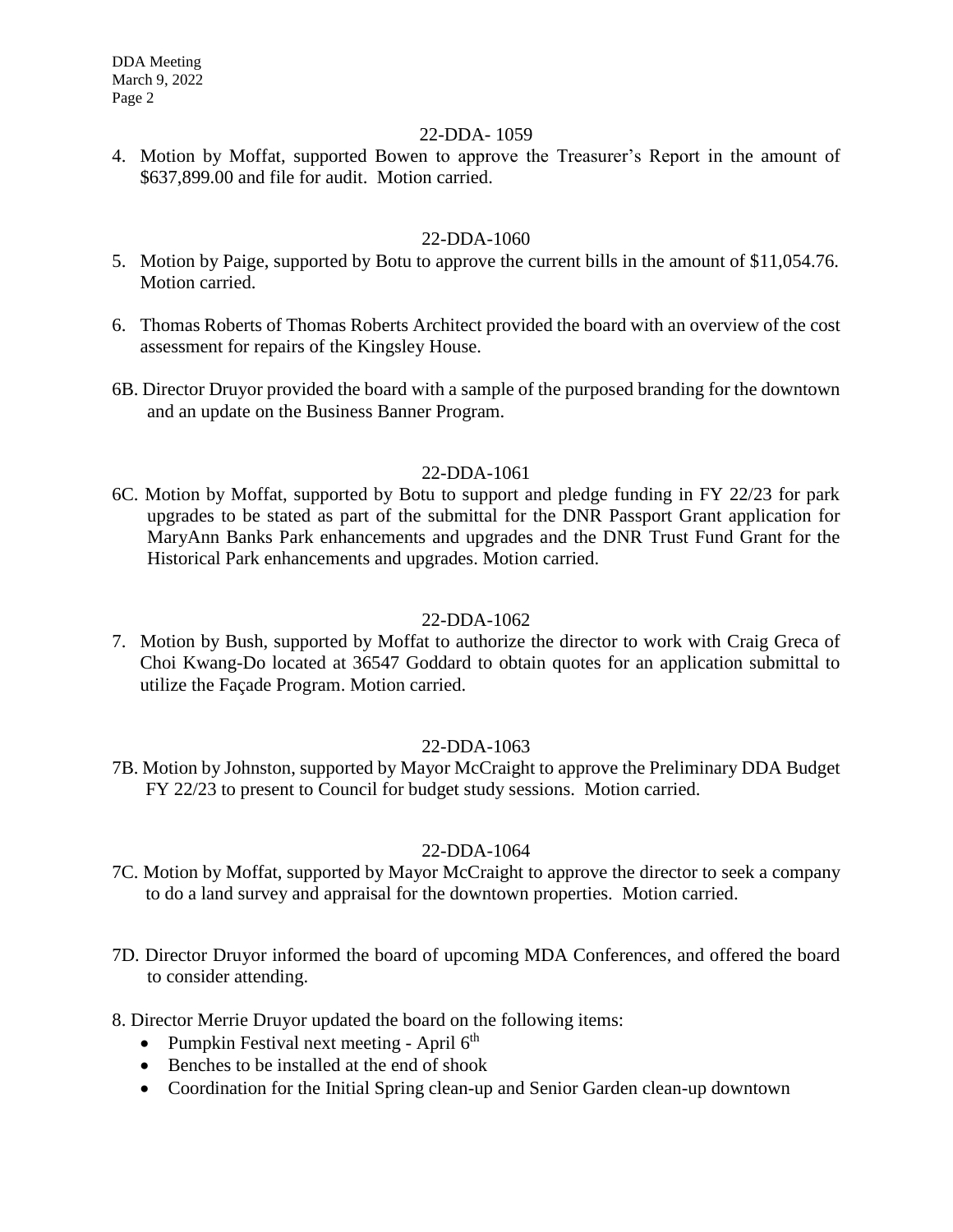DDA Meeting March 9, 2022 Page 2

### 22-DDA- 1059

4. Motion by Moffat, supported Bowen to approve the Treasurer's Report in the amount of \$637,899.00 and file for audit. Motion carried.

## 22-DDA-1060

- 5. Motion by Paige, supported by Botu to approve the current bills in the amount of \$11,054.76. Motion carried.
- 6. Thomas Roberts of Thomas Roberts Architect provided the board with an overview of the cost assessment for repairs of the Kingsley House.
- 6B. Director Druyor provided the board with a sample of the purposed branding for the downtown and an update on the Business Banner Program.

## 22-DDA-1061

6C. Motion by Moffat, supported by Botu to support and pledge funding in FY 22/23 for park upgrades to be stated as part of the submittal for the DNR Passport Grant application for MaryAnn Banks Park enhancements and upgrades and the DNR Trust Fund Grant for the Historical Park enhancements and upgrades. Motion carried.

## 22-DDA-1062

7. Motion by Bush, supported by Moffat to authorize the director to work with Craig Greca of Choi Kwang-Do located at 36547 Goddard to obtain quotes for an application submittal to utilize the Façade Program. Motion carried.

# 22-DDA-1063

7B. Motion by Johnston, supported by Mayor McCraight to approve the Preliminary DDA Budget FY 22/23 to present to Council for budget study sessions. Motion carried.

# 22-DDA-1064

- 7C. Motion by Moffat, supported by Mayor McCraight to approve the director to seek a company to do a land survey and appraisal for the downtown properties. Motion carried.
- 7D. Director Druyor informed the board of upcoming MDA Conferences, and offered the board to consider attending.
- 8. Director Merrie Druyor updated the board on the following items:
	- Pumpkin Festival next meeting April  $6<sup>th</sup>$
	- Benches to be installed at the end of shook
	- Coordination for the Initial Spring clean-up and Senior Garden clean-up downtown